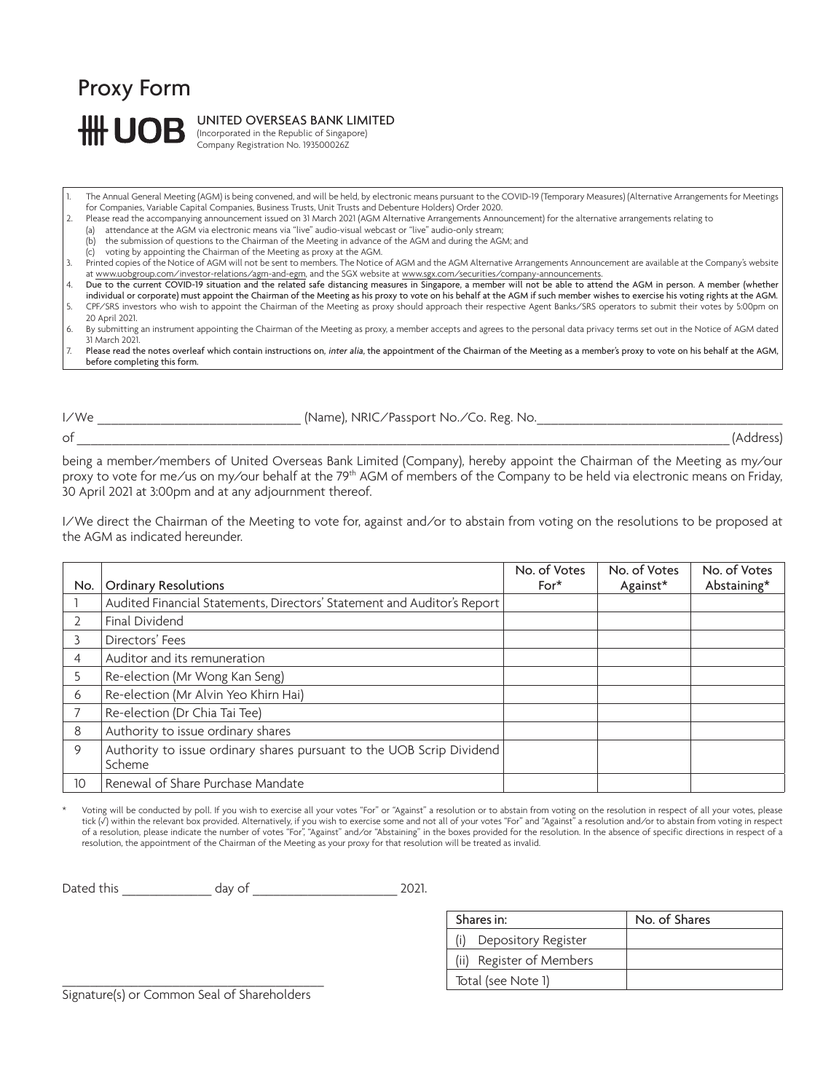## Proxy Form **## UQ**

UNITED OVERSEAS BANK LIMITED

(Incorporated in the Republic of Singapore) .<br>Company Registration No. 193500026Z

- 1. The Annual General Meeting (AGM) is being convened, and will be held, by electronic means pursuant to the COVID-19 (Temporary Measures) (Alternative Arrangements for Meetings for Companies, Variable Capital Companies, Business Trusts, Unit Trusts and Debenture Holders) Order 2020.
- 2. Please read the accompanying announcement issued on 31 March 2021 (AGM Alternative Arrangements Announcement) for the alternative arrangements relating to

(a) attendance at the AGM via electronic means via "live" audio-visual webcast or "live" audio-only stream;

- (b) the submission of questions to the Chairman of the Meeting in advance of the AGM and during the AGM; and
- (c) voting by appointing the Chairman of the Meeting as proxy at the AGM.
- 3. Printed copies of the Notice of AGM will not be sent to members. The Notice of AGM and the AGM Alternative Arrangements Announcement are available at the Company's website
- at www.uobgroup.com/investor-relations/agm-and-egm, and the SGX website at <u>www.sgx.com/securities/company-announcements</u>.<br>4. Due to the current COVID-19 situation and the related safe distancing measures in Singapore, a m individual or corporate) must appoint the Chairman of the Meeting as his proxy to vote on his behalf at the AGM if such member wishes to exercise his voting rights at the AGM.
- 5. CPF/SRS investors who wish to appoint the Chairman of the Meeting as proxy should approach their respective Agent Banks/SRS operators to submit their votes by 5:00pm on 20 April 2021.
- 6. By submitting an instrument appointing the Chairman of the Meeting as proxy, a member accepts and agrees to the personal data privacy terms set out in the Notice of AGM dated 31 March 2021.
- 7. Please read the notes overleaf which contain instructions on, inter alia, the appointment of the Chairman of the Meeting as a member's proxy to vote on his behalf at the AGM, before completing this form.

I/We  $\blacksquare$  (Name), NRIC/Passport No./Co. Reg. No.

 $\mathsf{of}$  (Address)

being a member/members of United Overseas Bank Limited (Company), hereby appoint the Chairman of the Meeting as my/our proxy to vote for me/us on my/our behalf at the 79th AGM of members of the Company to be held via electronic means on Friday, 30 April 2021 at 3:00pm and at any adjournment thereof.

I/We direct the Chairman of the Meeting to vote for, against and/or to abstain from voting on the resolutions to be proposed at the AGM as indicated hereunder.

| No. | <b>Ordinary Resolutions</b>                                                     | No. of Votes<br>$For*$ | No. of Votes<br>Against* | No. of Votes<br>Abstaining* |
|-----|---------------------------------------------------------------------------------|------------------------|--------------------------|-----------------------------|
|     | Audited Financial Statements, Directors' Statement and Auditor's Report         |                        |                          |                             |
|     | Final Dividend                                                                  |                        |                          |                             |
|     | Directors' Fees                                                                 |                        |                          |                             |
| 4   | Auditor and its remuneration                                                    |                        |                          |                             |
| 5   | Re-election (Mr Wong Kan Seng)                                                  |                        |                          |                             |
| 6   | Re-election (Mr Alvin Yeo Khirn Hai)                                            |                        |                          |                             |
|     | Re-election (Dr Chia Tai Tee)                                                   |                        |                          |                             |
| 8   | Authority to issue ordinary shares                                              |                        |                          |                             |
| 9   | Authority to issue ordinary shares pursuant to the UOB Scrip Dividend<br>Scheme |                        |                          |                             |
| 10  | Renewal of Share Purchase Mandate                                               |                        |                          |                             |

Voting will be conducted by poll. If you wish to exercise all your votes "For" or "Against" a resolution or to abstain from voting on the resolution in respect of all your votes, please tick (�) within the relevant box provided. Alternatively, if you wish to exercise some and not all of your votes "For" and "Against" a resolution and/or to abstain from voting in respect of a resolution, please indicate the number of votes "For", "Against" and/or "Abstaining" in the boxes provided for the resolution. In the absence of specific directions in respect of a resolution, the appointment of the Chairman of the Meeting as your proxy for that resolution will be treated as invalid.

Dated this day of 2021.

| Shares in:               | No. of Shares |  |
|--------------------------|---------------|--|
| Depository Register      |               |  |
| (ii) Register of Members |               |  |
| Total (see Note 1)       |               |  |

\_\_\_\_\_\_\_\_\_\_\_\_\_\_\_\_\_\_\_\_\_\_\_\_\_\_\_\_\_\_\_\_\_\_\_\_\_\_ Signature(s) or Common Seal of Shareholders